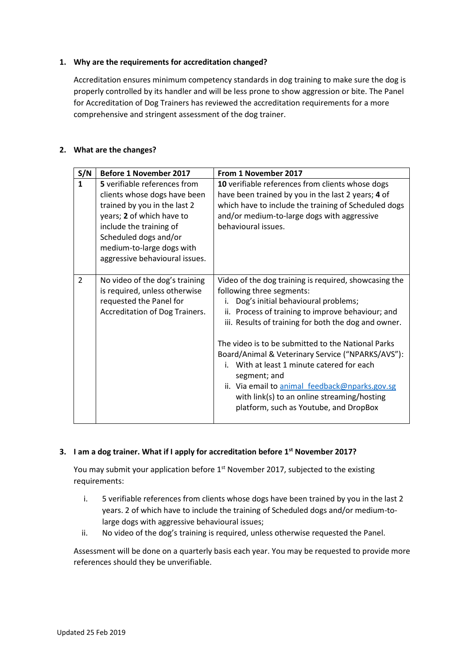## **1. Why are the requirements for accreditation changed?**

Accreditation ensures minimum competency standards in dog training to make sure the dog is properly controlled by its handler and will be less prone to show aggression or bite. The Panel for Accreditation of Dog Trainers has reviewed the accreditation requirements for a more comprehensive and stringent assessment of the dog trainer.

# **2. What are the changes?**

| S/N            | <b>Before 1 November 2017</b>                                                                                                                                                                                                                | From 1 November 2017                                                                                                                                                                                                                                                                                                                                                                                                                                                                                                                                             |
|----------------|----------------------------------------------------------------------------------------------------------------------------------------------------------------------------------------------------------------------------------------------|------------------------------------------------------------------------------------------------------------------------------------------------------------------------------------------------------------------------------------------------------------------------------------------------------------------------------------------------------------------------------------------------------------------------------------------------------------------------------------------------------------------------------------------------------------------|
| $\mathbf{1}$   | 5 verifiable references from<br>clients whose dogs have been<br>trained by you in the last 2<br>years; 2 of which have to<br>include the training of<br>Scheduled dogs and/or<br>medium-to-large dogs with<br>aggressive behavioural issues. | 10 verifiable references from clients whose dogs<br>have been trained by you in the last 2 years; 4 of<br>which have to include the training of Scheduled dogs<br>and/or medium-to-large dogs with aggressive<br>behavioural issues.                                                                                                                                                                                                                                                                                                                             |
| $\overline{2}$ | No video of the dog's training<br>is required, unless otherwise<br>requested the Panel for<br>Accreditation of Dog Trainers.                                                                                                                 | Video of the dog training is required, showcasing the<br>following three segments:<br>Dog's initial behavioural problems;<br>i.<br>ii. Process of training to improve behaviour; and<br>iii. Results of training for both the dog and owner.<br>The video is to be submitted to the National Parks<br>Board/Animal & Veterinary Service ("NPARKS/AVS"):<br>i. With at least 1 minute catered for each<br>segment; and<br>ii. Via email to animal feedback@nparks.gov.sg<br>with link(s) to an online streaming/hosting<br>platform, such as Youtube, and DropBox |

# **3. I am a dog trainer. What if I apply for accreditation before 1st November 2017?**

You may submit your application before 1<sup>st</sup> November 2017, subjected to the existing requirements:

- i. 5 verifiable references from clients whose dogs have been trained by you in the last 2 years. 2 of which have to include the training of Scheduled dogs and/or medium-tolarge dogs with aggressive behavioural issues;
- ii. No video of the dog's training is required, unless otherwise requested the Panel.

Assessment will be done on a quarterly basis each year. You may be requested to provide more references should they be unverifiable.